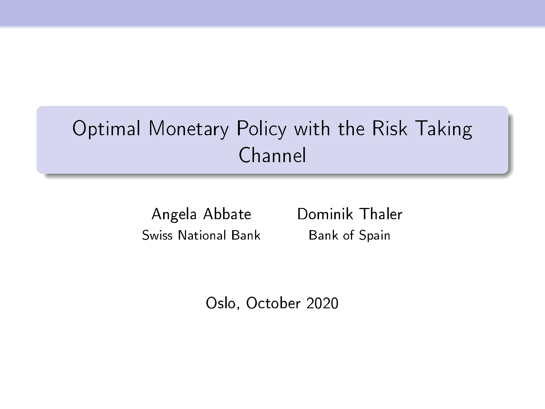# Optimal Monetary Policy with the Risk Taking Channel

Swiss National Bank Bank of Spain

Angela Abbate Dominik Thaler

Oslo, October 2020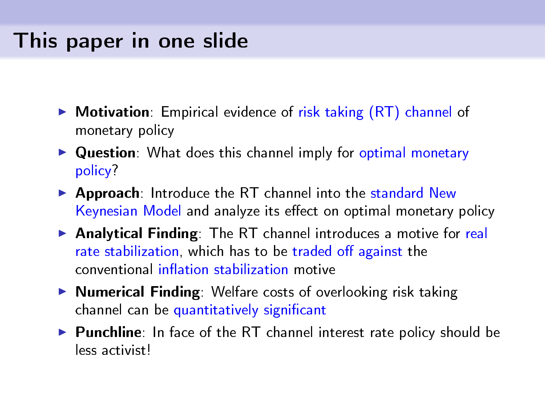## This paper in one slide

- $\triangleright$  Motivation: Empirical evidence of risk taking  $(RT)$  channel of monetary policy
- $\triangleright$  Question: What does this channel imply for optimal monetary policy?
- ▶ Approach: Introduce the RT channel into the standard New Keynesian Model and analyze its effect on optimal monetary policy
- ▶ Analytical Finding: The RT channel introduces a motive for real rate stabilization, which has to be traded off against the conventional inflation stabilization motive
- $\triangleright$  **Numerical Finding**: Welfare costs of overlooking risk taking channel can be quantitatively significant
- ▶ Punchline: In face of the RT channel interest rate policy should be less activist!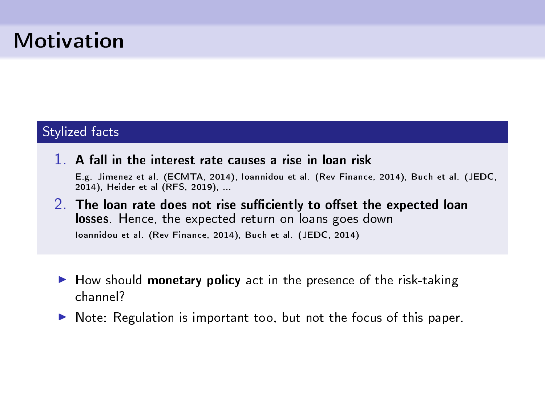## Motivation

#### Stylized facts

- 1. A fall in the interest rate causes a rise in loan risk E.g. Jimenez et al. (ECMTA, 2014), Ioannidou et al. (Rev Finance, 2014), Buch et al. (JEDC, 2014), Heider et al (RFS, 2019), ...
- $2.$  The loan rate does not rise sufficiently to offset the expected loan losses. Hence, the expected return on loans goes down Ioannidou et al. (Rev Finance, 2014), Buch et al. (JEDC, 2014)
- $\blacktriangleright$  How should monetary policy act in the presence of the risk-taking channel?
- $\triangleright$  Note: Regulation is important too, but not the focus of this paper.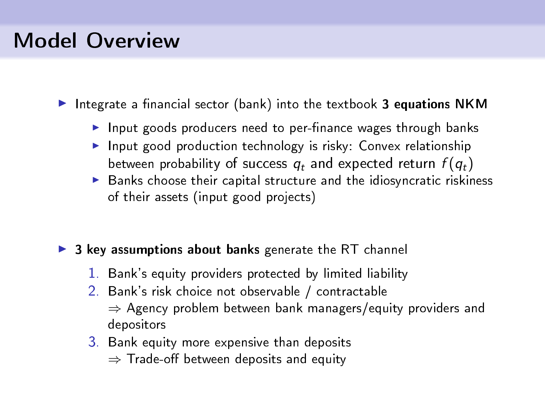## Model Overview

Integrate a financial sector (bank) into the textbook 3 equations NKM

- $\blacktriangleright$  Input goods producers need to per-finance wages through banks
- Input good production technology is risky: Convex relationship between probability of success  $q_t$  and expected return  $f(q_t)$
- $\triangleright$  Banks choose their capital structure and the idiosyncratic riskiness of their assets (input good projects)

#### $\triangleright$  3 key assumptions about banks generate the RT channel

- 1. Bank's equity providers protected by limited liability
- 2. Bank's risk choice not observable / contractable ⇒ Agency problem between bank managers/equity providers and depositors
- 3. Bank equity more expensive than deposits  $\Rightarrow$  Trade-off between deposits and equity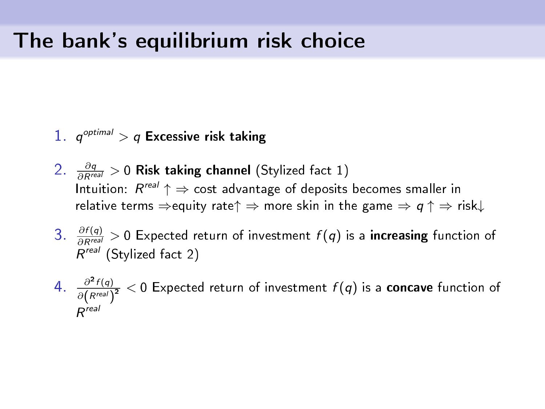#### The bank's equilibrium risk choice

- $1.$   $q^{\mathit{optimal}} > q$  Excessive risk taking
- 2.  $\frac{\partial q}{\partial R^{real}} > 0$  Risk taking channel (Stylized fact 1) Intuition:  $R^{real} \uparrow \Rightarrow$  cost advantage of deposits becomes smaller in relative terms  $\Rightarrow$  equity rate $\uparrow \Rightarrow$  more skin in the game  $\Rightarrow q \uparrow \Rightarrow$  risk $\downarrow$
- 3.  $\frac{\partial f(q)}{\partial R^{real}} > 0$  Expected return of investment  $f(q)$  is a **increasing** function of R<sup>real</sup> (Stylized fact 2)
- 4.  $\frac{\partial^2 f(q)}{\partial (R^{real})^2} < 0$  Expected return of investment  $f(q)$  is a **concave** function of R real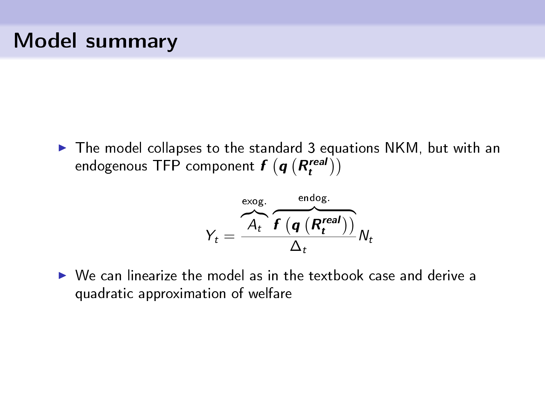### Model summary

 $\triangleright$  The model collapses to the standard 3 equations NKM, but with an endogenous TFP component  $f\left(\boldsymbol{q}\left(R_t^{real}\right)\right)$ 

$$
Y_t = \frac{\overbrace{A_t}^{\text{evog.}} \overbrace{f(q \ (R_t^{\text{real}}))}^{\text{endog.}}}{\Delta_t} N_t
$$

 $\triangleright$  We can linearize the model as in the textbook case and derive a quadratic approximation of welfare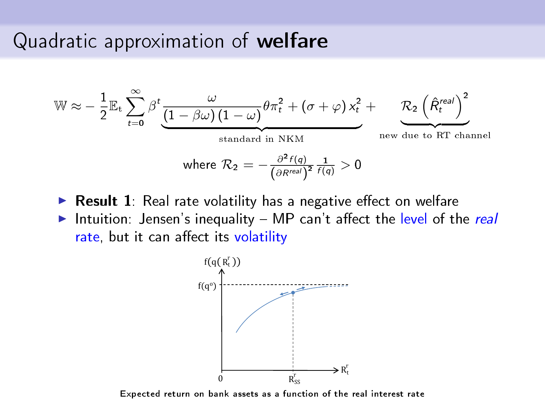#### Quadratic approximation of welfare

$$
\mathbb{W} \approx -\frac{1}{2} \mathbb{E}_{t} \sum_{t=0}^{\infty} \beta^{t} \underbrace{\frac{\omega}{(1-\beta\omega)(1-\omega)} \theta \pi_{t}^{2} + (\sigma + \varphi) x_{t}^{2}}_{\text{standard in NKM}} + \underbrace{\mathcal{R}_{2} \left(\hat{R}_{t}^{\text{real}}\right)^{2}}_{\text{new due to RT channel}}
$$
\n
$$
\text{where } \mathcal{R}_{2} = -\frac{\partial^{2} f(q)}{(\partial R^{\text{real}})^{2}} \frac{1}{f(q)} > 0
$$

- $\triangleright$  Result 1: Real rate volatility has a negative effect on welfare
- Intuition: Jensen's inequality  $-$  MP can't affect the level of the real rate, but it can affect its volatility



Expected return on bank assets as a function of the real interest rate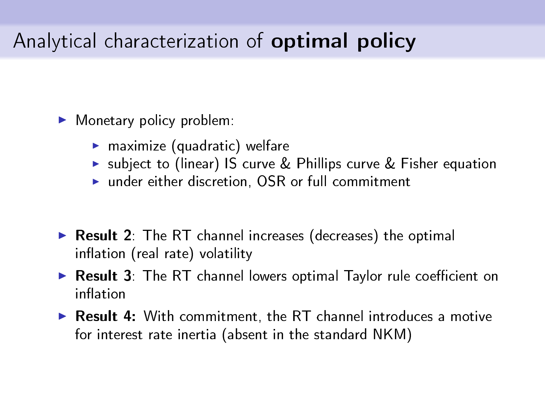## Analytical characterization of optimal policy

<sup>I</sup> Monetary policy problem:

- $\blacktriangleright$  maximize (quadratic) welfare
- ▶ subject to (linear) IS curve & Phillips curve & Fisher equation
- $\blacktriangleright$  under either discretion, OSR or full commitment
- $\triangleright$  Result 2: The RT channel increases (decreases) the optimal inflation (real rate) volatility
- $\triangleright$  Result 3: The RT channel lowers optimal Taylor rule coefficient on inflation
- $\triangleright$  Result 4: With commitment, the RT channel introduces a motive for interest rate inertia (absent in the standard NKM)